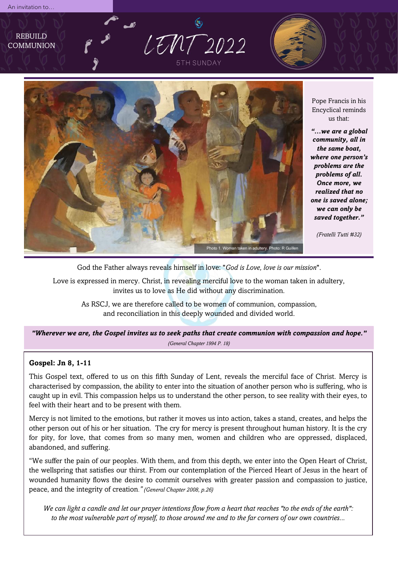REBUILD **COMMUNION** 

LEMT 2022 **5TH SUNDAY** 



Pope Francis in his Encyclical reminds us that:

*"…we are a global community, all in the same boat, where one person's problems are the problems of all. Once more, we realized that no one is saved alone; we can only be saved together."* 

*(Fratelli Tutti #32)*

God the Father always reveals himself in love: "*God is Love, love is our mission*".

Love is expressed in mercy. Christ, in revealing merciful love to the woman taken in adultery, invites us to love as He did without any discrimination.

As RSCJ, we are therefore called to be women of communion, compassion, and reconciliation in this deeply wounded and divided world.

*"Wherever we are, the Gospel invites us to seek paths that create communion with compassion and hope." (General Chapter 1994 P. 18)*

## **Gospel: Jn 8, 1-11**

This Gospel text, offered to us on this fifth Sunday of Lent, reveals the merciful face of Christ. Mercy is characterised by compassion, the ability to enter into the situation of another person who is suffering, who is caught up in evil. This compassion helps us to understand the other person, to see reality with their eyes, to feel with their heart and to be present with them.

Mercy is not limited to the emotions, but rather it moves us into action, takes a stand, creates, and helps the other person out of his or her situation. The cry for mercy is present throughout human history. It is the cry for pity, for love, that comes from so many men, women and children who are oppressed, displaced, abandoned, and suffering.

"We suffer the pain of our peoples. With them, and from this depth, we enter into the Open Heart of Christ, the wellspring that satisfies our thirst. From our contemplation of the Pierced Heart of Jesus in the heart of wounded humanity flows the desire to commit ourselves with greater passion and compassion to justice, peace, and the integrity of creation*." (General Chapter 2008, p.26)*

*We can light a candle and let our prayer intentions flow from a heart that reaches "to the ends of the earth": to the most vulnerable part of myself, to those around me and to the far corners of our own countries...*